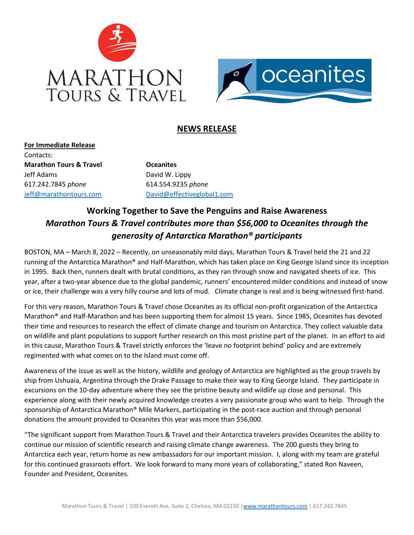



## **NEWS RELEASE**

**For Immediate Release** Contacts: **Marathon Tours & Travel Construction Construction Construction Construction Construction Construction Construction Construction Construction Construction Construction Construction Construction Construction Construction Co** Jeff Adams David W. Lippy 617.242.7845 *phone* 614.554.9235 *phone*

[jeff@marathontours.com](mailto:jeff@marathontours.com) [David@effectiveglobal1.com](mailto:David@effectiveglobal1.com)

## **Working Together to Save the Penguins and Raise Awareness** *Marathon Tours & Travel contributes more than \$56,000 to Oceanites through the generosity of Antarctica Marathon® participants*

BOSTON, MA – March 8, 2022 – Recently, on unseasonably mild days, Marathon Tours & Travel held the 21 and 22 running of the Antarctica Marathon® and Half-Marathon, which has taken place on King George Island since its inception in 1995. Back then, runners dealt with brutal conditions, as they ran through snow and navigated sheets of ice. This year, after a two-year absence due to the global pandemic, runners' encountered milder conditions and instead of snow or ice, their challenge was a very hilly course and lots of mud. Climate change is real and is being witnessed first-hand.

For this very reason, Marathon Tours & Travel chose Oceanites as its official non-profit organization of the Antarctica Marathon® and Half-Marathon and has been supporting them for almost 15 years. Since 1985, Oceanites has devoted their time and resources to research the effect of climate change and tourism on Antarctica. They collect valuable data on wildlife and plant populations to support further research on this most pristine part of the planet. In an effort to aid in this cause, Marathon Tours & Travel strictly enforces the 'leave no footprint behind' policy and are extremely regimented with what comes on to the Island must come off.

Awareness of the issue as well as the history, wildlife and geology of Antarctica are highlighted as the group travels by ship from Ushuaia, Argentina through the Drake Passage to make their way to King George Island. They participate in excursions on the 10-day adventure where they see the pristine beauty and wildlife up close and personal. This experience along with their newly acquired knowledge creates a very passionate group who want to help. Through the sponsorship of Antarctica Marathon® Mile Markers, participating in the post-race auction and through personal donations the amount provided to Oceanites this year was more than \$56,000.

"The significant support from Marathon Tours & Travel and their Antarctica travelers provides Oceanites the ability to continue our mission of scientific research and raising climate change awareness. The 200 guests they bring to Antarctica each year, return home as new ambassadors for our important mission. I, along with my team are grateful for this continued grassroots effort. We look forward to many more years of collaborating," stated Ron Naveen, Founder and President, Oceanites.